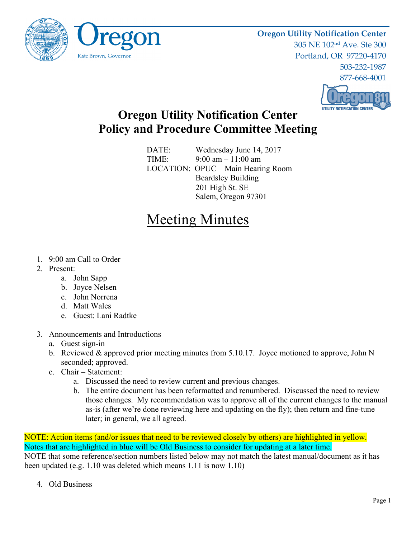

**Oregon Utility Notification Center** 305 NE 102nd Ave. Ste 300 Portland, OR 97220-4170 503-232-1987 877-668-4001



## **Oregon Utility Notification Center Policy and Procedure Committee Meeting**

DATE: Wednesday June 14, 2017 TIME: 9:00 am – 11:00 am LOCATION: OPUC – Main Hearing Room Beardsley Building 201 High St. SE Salem, Oregon 97301

## Meeting Minutes

- 1. 9:00 am Call to Order
- 2. Present:
	- a. John Sapp
	- b. Joyce Nelsen
	- c. John Norrena
	- d. Matt Wales
	- e. Guest: Lani Radtke
- 3. Announcements and Introductions
	- a. Guest sign-in
	- b. Reviewed & approved prior meeting minutes from 5.10.17. Joyce motioned to approve, John N seconded; approved.
	- c. Chair Statement:
		- a. Discussed the need to review current and previous changes.
		- b. The entire document has been reformatted and renumbered. Discussed the need to review those changes. My recommendation was to approve all of the current changes to the manual as-is (after we're done reviewing here and updating on the fly); then return and fine-tune later; in general, we all agreed.

NOTE: Action items (and/or issues that need to be reviewed closely by others) are highlighted in yellow. Notes that are highlighted in blue will be Old Business to consider for updating at a later time. NOTE that some reference/section numbers listed below may not match the latest manual/document as it has been updated (e.g. 1.10 was deleted which means 1.11 is now 1.10)

4. Old Business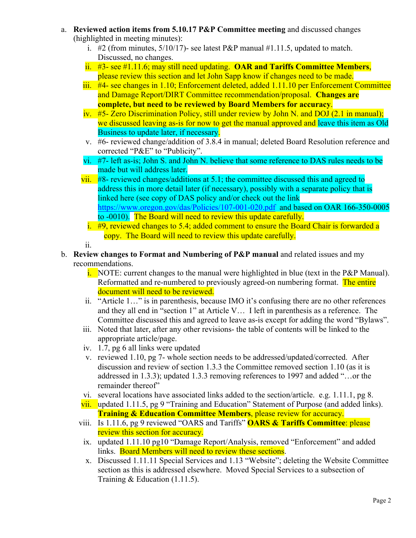- a. **Reviewed action items from 5.10.17 P&P Committee meeting** and discussed changes (highlighted in meeting minutes):
	- i. #2 (from minutes,  $5/10/17$ )- see latest P&P manual #1.11.5, updated to match. Discussed, no changes.
	- ii. #3- see #1.11.6; may still need updating. **OAR and Tariffs Committee Members**, please review this section and let John Sapp know if changes need to be made.
	- iii. #4- see changes in 1.10; Enforcement deleted, added 1.11.10 per Enforcement Committee and Damage Report/DIRT Committee recommendation/proposal. **Changes are complete, but need to be reviewed by Board Members for accuracy**.
	- iv. #5- Zero Discrimination Policy, still under review by John N. and DOJ (2.1 in manual); we discussed leaving as-is for now to get the manual approved and leave this item as Old Business to update later, if necessary.
	- v. #6- reviewed change/addition of 3.8.4 in manual; deleted Board Resolution reference and corrected "P&E" to "Publicity".
	- vi. #7- left as-is; John S. and John N. believe that some reference to DAS rules needs to be made but will address later.
	- vii. #8- reviewed changes/additions at 5.1; the committee discussed this and agreed to address this in more detail later (if necessary), possibly with a separate policy that is linked here (see copy of DAS policy and/or check out the link https://www.oregon.gov/das/Policies/107-001-020.pdf and based on OAR 166-350-0005 to -0010). The Board will need to review this update carefully.
		- i. #9, reviewed changes to 5.4; added comment to ensure the Board Chair is forwarded a copy. The Board will need to review this update carefully.

ii.

- b. **Review changes to Format and Numbering of P&P manual** and related issues and my recommendations.
	- i. NOTE: current changes to the manual were highlighted in blue (text in the P&P Manual). Reformatted and re-numbered to previously agreed-on numbering format. The entire document will need to be reviewed.
	- ii. "Article 1…" is in parenthesis, because IMO it's confusing there are no other references and they all end in "section 1" at Article V… I left in parenthesis as a reference. The Committee discussed this and agreed to leave as-is except for adding the word "Bylaws".
	- iii. Noted that later, after any other revisions- the table of contents will be linked to the appropriate article/page.
	- iv. 1.7, pg 6 all links were updated
	- v. reviewed 1.10, pg 7- whole section needs to be addressed/updated/corrected. After discussion and review of section 1.3.3 the Committee removed section 1.10 (as it is addressed in 1.3.3); updated 1.3.3 removing references to 1997 and added "…or the remainder thereof"
	- vi. several locations have associated links added to the section/article. e.g. 1.11.1, pg 8.
	- vii. updated 1.11.5, pg 9 "Training and Education" Statement of Purpose (and added links). **Training & Education Committee Members**, please review for accuracy.
	- viii. Is 1.11.6, pg 9 reviewed "OARS and Tariffs" **OARS & Tariffs Committee**: please review this section for accuracy.
	- ix. updated 1.11.10 pg10 "Damage Report/Analysis, removed "Enforcement" and added links. Board Members will need to review these sections.
	- x. Discussed 1.11.11 Special Services and 1.13 "Website"; deleting the Website Committee section as this is addressed elsewhere. Moved Special Services to a subsection of Training & Education (1.11.5).